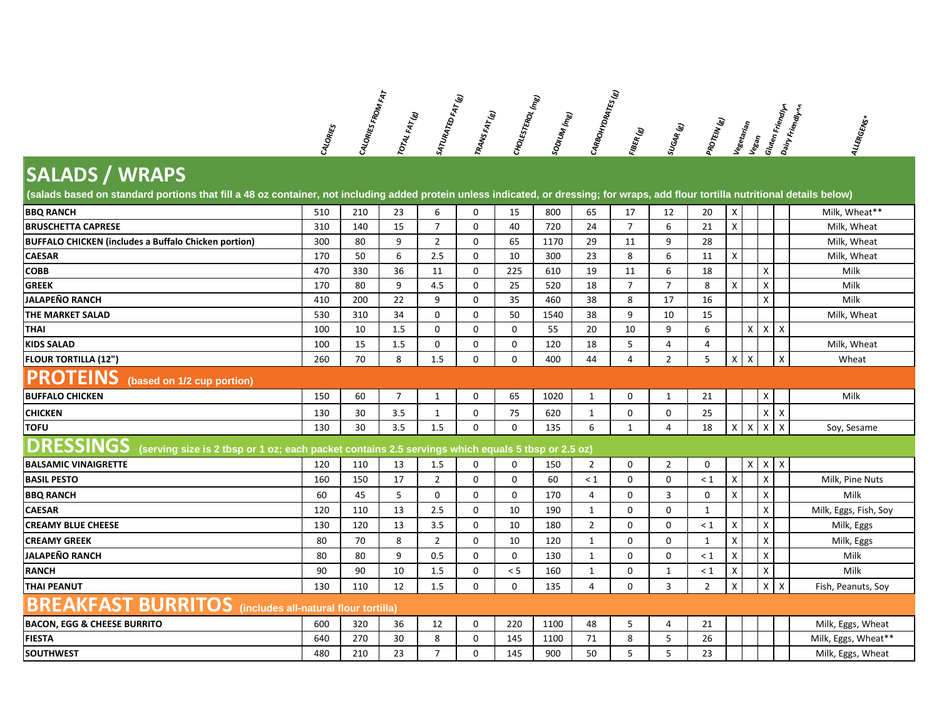

## **SALADS / WRAPS**

| (salads based on standard portions that fill a 48 oz container, not including added protein unless indicated, or dressing; for wraps, add flour tortilla nutritional details below) |     |     |                |                |             |             |      |                |                |                |                |                           |                           |                    |                           |                       |
|-------------------------------------------------------------------------------------------------------------------------------------------------------------------------------------|-----|-----|----------------|----------------|-------------|-------------|------|----------------|----------------|----------------|----------------|---------------------------|---------------------------|--------------------|---------------------------|-----------------------|
| <b>BBQ RANCH</b>                                                                                                                                                                    | 510 | 210 | 23             | 6              | $\Omega$    | 15          | 800  | 65             | 17             | 12             | 20             | X                         |                           |                    |                           | Milk, Wheat**         |
| <b>BRUSCHETTA CAPRESE</b>                                                                                                                                                           | 310 | 140 | 15             | $\overline{7}$ | 0           | 40          | 720  | 24             | $\overline{7}$ | 6              | 21             | $\mathsf{X}$              |                           |                    |                           | Milk, Wheat           |
| <b>BUFFALO CHICKEN (includes a Buffalo Chicken portion)</b>                                                                                                                         | 300 | 80  | 9              | $\overline{2}$ | 0           | 65          | 1170 | 29             | 11             | 9              | 28             |                           |                           |                    |                           | Milk, Wheat           |
| <b>CAESAR</b>                                                                                                                                                                       | 170 | 50  | 6              | 2.5            | $\Omega$    | 10          | 300  | 23             | 8              | 6              | 11             | $\times$                  |                           |                    |                           | Milk, Wheat           |
| <b>COBB</b>                                                                                                                                                                         | 470 | 330 | 36             | 11             | $\mathbf 0$ | 225         | 610  | 19             | 11             | 6              | 18             |                           |                           | X                  |                           | Milk                  |
| <b>GREEK</b>                                                                                                                                                                        | 170 | 80  | 9              | 4.5            | $\mathbf 0$ | 25          | 520  | 18             | $\overline{7}$ | $\overline{7}$ | 8              | $\boldsymbol{\mathsf{x}}$ |                           | X                  |                           | Milk                  |
| <b>JALAPEÑO RANCH</b>                                                                                                                                                               | 410 | 200 | 22             | 9              | $\mathbf 0$ | 35          | 460  | 38             | 8              | 17             | 16             |                           |                           | X                  |                           | Milk                  |
| THE MARKET SALAD                                                                                                                                                                    | 530 | 310 | 34             | $\mathbf 0$    | $\mathbf 0$ | 50          | 1540 | 38             | 9              | 10             | 15             |                           |                           |                    |                           | Milk, Wheat           |
| <b>THAI</b>                                                                                                                                                                         | 100 | 10  | 1.5            | $\mathbf 0$    | 0           | $\mathbf 0$ | 55   | 20             | 10             | 9              | 6              |                           | X                         | $\times$           | $\boldsymbol{\mathsf{X}}$ |                       |
| <b>KIDS SALAD</b>                                                                                                                                                                   | 100 | 15  | 1.5            | 0              | 0           | 0           | 120  | 18             | 5              | 4              | 4              |                           |                           |                    |                           | Milk, Wheat           |
| <b>FLOUR TORTILLA (12")</b>                                                                                                                                                         | 260 | 70  | 8              | 1.5            | $\Omega$    | $\Omega$    | 400  | 44             | 4              | $\overline{2}$ | 5              | $\times$                  | $\boldsymbol{\mathsf{X}}$ |                    | X                         | Wheat                 |
| <b>PROTEINS</b><br>(based on 1/2 cup portion)                                                                                                                                       |     |     |                |                |             |             |      |                |                |                |                |                           |                           |                    |                           |                       |
| <b>BUFFALO CHICKEN</b>                                                                                                                                                              | 150 | 60  | $\overline{7}$ | 1              | $\mathbf 0$ | 65          | 1020 | $\mathbf{1}$   | $\mathbf 0$    | $\mathbf{1}$   | 21             |                           |                           | X                  |                           | Milk                  |
| <b>CHICKEN</b>                                                                                                                                                                      | 130 | 30  | 3.5            | 1              | 0           | 75          | 620  | $\mathbf{1}$   | 0              | 0              | 25             |                           |                           | $X$ $X$            |                           |                       |
| <b>TOFU</b>                                                                                                                                                                         | 130 | 30  | 3.5            | 1.5            | $\mathbf 0$ | $\mathbf 0$ | 135  | 6              | $\mathbf{1}$   | $\overline{4}$ | 18             | $x \mid x$                |                           | $X$ $X$            |                           | Soy, Sesame           |
| <b>DRESSINGS</b><br>(serving size is 2 tbsp or 1 oz; each packet contains 2.5 servings which equals 5 tbsp or 2.5 oz)                                                               |     |     |                |                |             |             |      |                |                |                |                |                           |                           |                    |                           |                       |
| <b>BALSAMIC VINAIGRETTE</b>                                                                                                                                                         | 120 | 110 | 13             | 1.5            | 0           | $\mathbf 0$ | 150  | $\overline{2}$ | $\mathbf 0$    | $\overline{2}$ | $\mathbf 0$    |                           | X                         | $X$ $X$            |                           |                       |
| <b>BASIL PESTO</b>                                                                                                                                                                  | 160 | 150 | 17             | $\overline{2}$ | $\mathbf 0$ | $\mathbf 0$ | 60   | $\leq 1$       | $\mathbf 0$    | $\mathbf 0$    | $\leq 1$       | X                         |                           | $\mathsf X$        |                           | Milk, Pine Nuts       |
| <b>BBQ RANCH</b>                                                                                                                                                                    | 60  | 45  | 5              | $\mathbf 0$    | $\mathbf 0$ | $\mathbf 0$ | 170  | $\overline{4}$ | $\mathbf 0$    | 3              | $\mathbf 0$    | X                         |                           | X                  |                           | Milk                  |
| <b>CAESAR</b>                                                                                                                                                                       | 120 | 110 | 13             | 2.5            | $\mathbf 0$ | 10          | 190  | $\mathbf{1}$   | $\mathbf 0$    | $\mathbf 0$    | $\mathbf{1}$   |                           |                           | X                  |                           | Milk, Eggs, Fish, Soy |
| <b>CREAMY BLUE CHEESE</b>                                                                                                                                                           | 130 | 120 | 13             | 3.5            | $\mathbf 0$ | 10          | 180  | $\overline{2}$ | $\Omega$       | $\mathbf 0$    | $\leq 1$       | X                         |                           | $\mathsf{X}$       |                           | Milk, Eggs            |
| <b>CREAMY GREEK</b>                                                                                                                                                                 | 80  | 70  | 8              | $\overline{2}$ | 0           | 10          | 120  | 1              | 0              | 0              | 1              | X                         |                           | X                  |                           | Milk, Eggs            |
| <b>JALAPEÑO RANCH</b>                                                                                                                                                               | 80  | 80  | 9              | 0.5            | $\mathbf 0$ | $\mathbf 0$ | 130  | $\mathbf{1}$   | 0              | $\mathbf 0$    | $\leq 1$       | $\times$                  |                           | X                  |                           | Milk                  |
| <b>RANCH</b>                                                                                                                                                                        | 90  | 90  | 10             | 1.5            | $\mathbf 0$ | < 5         | 160  | $\mathbf{1}$   | $\mathbf 0$    | $\mathbf{1}$   | $\leq 1$       | X                         |                           | $\pmb{\mathsf{X}}$ |                           | Milk                  |
| <b>THAI PEANUT</b>                                                                                                                                                                  | 130 | 110 | 12             | 1.5            | 0           | $\Omega$    | 135  | $\overline{4}$ | $\Omega$       | $\overline{3}$ | $\overline{2}$ | $\boldsymbol{\mathsf{x}}$ |                           | $\times$           | $\mathsf{x}$              | Fish, Peanuts, Soy    |
| <b>BREAKFAST BURRITOS</b><br>(includes all-natural flour tortilla)                                                                                                                  |     |     |                |                |             |             |      |                |                |                |                |                           |                           |                    |                           |                       |
| <b>BACON, EGG &amp; CHEESE BURRITO</b>                                                                                                                                              | 600 | 320 | 36             | 12             | $\mathbf 0$ | 220         | 1100 | 48             | 5              | $\overline{4}$ | 21             |                           |                           |                    |                           | Milk, Eggs, Wheat     |
| <b>FIESTA</b>                                                                                                                                                                       | 640 | 270 | 30             | 8              | 0           | 145         | 1100 | 71             | 8              | 5              | 26             |                           |                           |                    |                           | Milk, Eggs, Wheat**   |
| <b>SOUTHWEST</b>                                                                                                                                                                    | 480 | 210 | 23             | $\overline{7}$ | 0           | 145         | 900  | 50             | 5              | 5              | 23             |                           |                           |                    |                           | Milk, Eggs, Wheat     |
|                                                                                                                                                                                     |     |     |                |                |             |             |      |                |                |                |                |                           |                           |                    |                           |                       |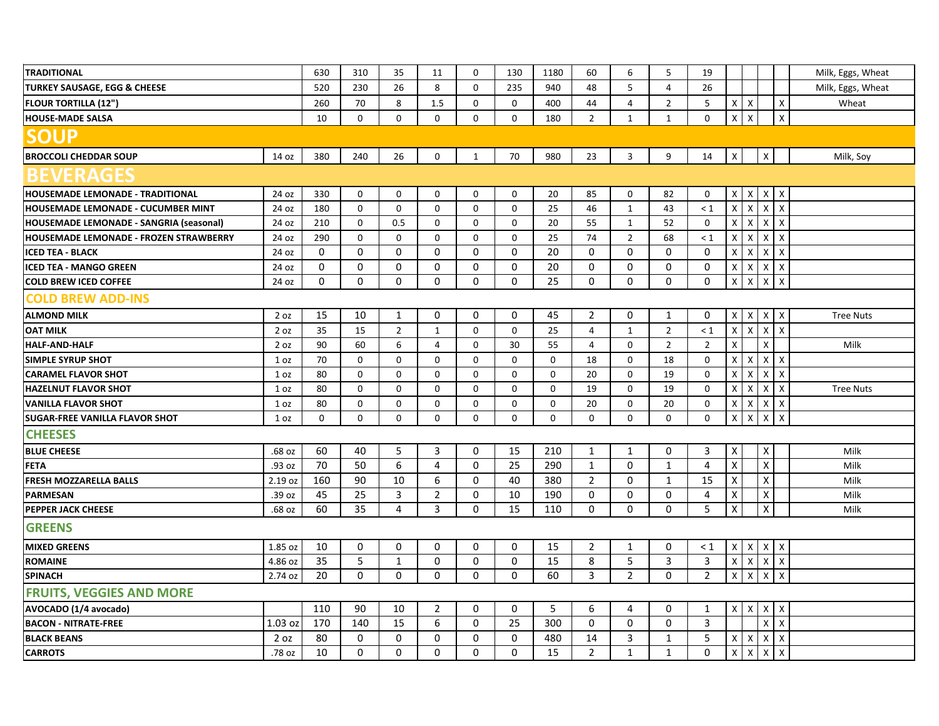| <b>TRADITIONAL</b>                        |                 | 630 | 310         | 35             | 11             | 0            | 130         | 1180        | 60             | 6              | 5              | 19             |                           |                                 |                             |                           | Milk, Eggs, Wheat |
|-------------------------------------------|-----------------|-----|-------------|----------------|----------------|--------------|-------------|-------------|----------------|----------------|----------------|----------------|---------------------------|---------------------------------|-----------------------------|---------------------------|-------------------|
| <b>TURKEY SAUSAGE, EGG &amp; CHEESE</b>   |                 | 520 | 230         | 26             | 8              | 0            | 235         | 940         | 48             | 5              | 4              | 26             |                           |                                 |                             |                           | Milk, Eggs, Wheat |
| <b>FLOUR TORTILLA (12")</b>               |                 | 260 | 70          | 8              | 1.5            | 0            | 0           | 400         | 44             | 4              | $\overline{2}$ | 5              | $\boldsymbol{\mathsf{X}}$ | $\mathsf{X}$                    |                             | Χ                         | Wheat             |
| <b>HOUSE-MADE SALSA</b>                   |                 | 10  | 0           | $\mathbf 0$    | $\mathbf 0$    | 0            | 0           | 180         | $\overline{2}$ | $\mathbf{1}$   | $\mathbf{1}$   | $\mathbf 0$    | $\times$                  | $\boldsymbol{\mathsf{X}}$       |                             | $\pmb{\times}$            |                   |
| <b>SOUP</b>                               |                 |     |             |                |                |              |             |             |                |                |                |                |                           |                                 |                             |                           |                   |
| <b>BROCCOLI CHEDDAR SOUP</b>              | 14 oz           | 380 | 240         | 26             | $\mathbf 0$    | $\mathbf{1}$ | 70          | 980         | 23             | 3              | 9              | 14             | $\times$                  |                                 | X                           |                           | Milk, Soy         |
|                                           |                 |     |             |                |                |              |             |             |                |                |                |                |                           |                                 |                             |                           |                   |
| HOUSEMADE LEMONADE - TRADITIONAL          | 24 oz           | 330 | 0           | 0              | $\Omega$       | 0            | 0           | 20          | 85             | 0              | 82             | 0              | $\times$                  | $\mathsf{X}$                    | $X$ $X$                     |                           |                   |
| <b>HOUSEMADE LEMONADE - CUCUMBER MINT</b> | 24 oz           | 180 | $\mathbf 0$ | 0              | $\mathbf 0$    | 0            | $\mathbf 0$ | 25          | 46             | $\mathbf{1}$   | 43             | < 1            | $\times$                  | $\boldsymbol{\mathsf{X}}$       | $\mathsf{X}$                | $\pmb{\times}$            |                   |
| HOUSEMADE LEMONADE - SANGRIA (seasonal)   | 24 oz           | 210 | $\mathbf 0$ | 0.5            | $\mathbf 0$    | 0            | $\mathbf 0$ | 20          | 55             | 1              | 52             | $\mathbf 0$    | $\times$                  | $\boldsymbol{\mathsf{X}}$       | X                           | $\mathsf{X}$              |                   |
| HOUSEMADE LEMONADE - FROZEN STRAWBERRY    | 24 oz           | 290 | 0           | 0              | $\Omega$       | 0            | $\Omega$    | 25          | 74             | $\overline{2}$ | 68             | < 1            | $\mathsf X$               | $\pmb{\mathsf{X}}$              | $\mathsf X$                 | $\boldsymbol{\mathsf{X}}$ |                   |
| <b>ICED TEA - BLACK</b>                   | 24 oz           | 0   | $\mathbf 0$ | $\mathbf 0$    | $\mathbf 0$    | 0            | 0           | 20          | 0              | 0              | $\mathsf 0$    | $\mathbf 0$    | $x \mid$                  | $\boldsymbol{X}$<br>$\mathsf X$ |                             | $\boldsymbol{X}$          |                   |
| <b>ICED TEA - MANGO GREEN</b>             | 24 oz           | 0   | 0           | 0              | 0              | 0            | 0           | 20          | 0              | 0              | 0              | 0              | $\boldsymbol{\mathsf{X}}$ | $\mathsf{X}$                    | $\boldsymbol{\mathsf{X}}$   | $\pmb{\times}$            |                   |
| <b>COLD BREW ICED COFFEE</b>              | 24 oz           | 0   | $\mathbf 0$ | $\Omega$       | $\Omega$       | 0            | 0           | 25          | 0              | 0              | $\mathbf 0$    | $\mathbf 0$    | $x \mid x$                |                                 | $\mathsf X$                 | $\pmb{\times}$            |                   |
| <b>COLD BREW ADD-INS</b>                  |                 |     |             |                |                |              |             |             |                |                |                |                |                           |                                 |                             |                           |                   |
| <b>ALMOND MILK</b>                        | 2 <sub>oz</sub> | 15  | 10          | $\mathbf{1}$   | $\mathbf 0$    | 0            | 0           | 45          | $\overline{2}$ | 0              | $\mathbf{1}$   | 0              | $X$ $X$                   |                                 | $X$   $X$                   |                           | <b>Tree Nuts</b>  |
| <b>OAT MILK</b>                           | 2 <sub>oz</sub> | 35  | 15          | $\overline{2}$ | $\mathbf{1}$   | 0            | 0           | 25          | 4              | $\mathbf{1}$   | $\overline{2}$ | $\leq 1$       | x                         | $\boldsymbol{\mathsf{X}}$       | $\pmb{\mathsf{X}}$          | $\pmb{\times}$            |                   |
| <b>HALF-AND-HALF</b>                      | 2 <sub>oz</sub> | 90  | 60          | 6              | 4              | 0            | 30          | 55          | 4              | 0              | $\overline{2}$ | $\overline{2}$ | X                         |                                 | X                           |                           | Milk              |
| <b>SIMPLE SYRUP SHOT</b>                  | 1 <sub>oz</sub> | 70  | 0           | $\mathbf 0$    | $\mathbf 0$    | 0            | $\mathbf 0$ | $\mathbf 0$ | 18             | 0              | 18             | 0              | $X$ $X$                   |                                 | $X$ $X$                     |                           |                   |
| <b>CARAMEL FLAVOR SHOT</b>                | 1 <sub>oz</sub> | 80  | 0           | 0              | 0              | 0            | 0           | 0           | 20             | 0              | 19             | 0              | $\times$                  | $\boldsymbol{\mathsf{X}}$       | $\boldsymbol{\mathsf{X}}$   | $\pmb{\times}$            |                   |
| <b>HAZELNUT FLAVOR SHOT</b>               | 1 <sub>oz</sub> | 80  | $\mathbf 0$ | $\Omega$       | $\Omega$       | 0            | $\mathbf 0$ | 0           | 19             | 0              | 19             | $\mathbf 0$    | $\boldsymbol{X}$          | $\boldsymbol{\mathsf{X}}$       | $\mathsf X$                 | $\boldsymbol{X}$          | <b>Tree Nuts</b>  |
| <b>VANILLA FLAVOR SHOT</b>                | 1 <sub>oz</sub> | 80  | $\mathbf 0$ | $\mathsf 0$    | $\mathbf 0$    | 0            | 0           | $\pmb{0}$   | 20             | $\mathbf 0$    | $20\,$         | $\mathbf 0$    | $X$ $X$                   |                                 | $x \mid x$                  |                           |                   |
| <b>SUGAR-FREE VANILLA FLAVOR SHOT</b>     | 1 <sub>oz</sub> | 0   | 0           | 0              | 0              | 0            | 0           | 0           | 0              | 0              | 0              | 0              | $X$ $X$                   |                                 | $\mathsf X$                 | $\pmb{\times}$            |                   |
| <b>CHEESES</b>                            |                 |     |             |                |                |              |             |             |                |                |                |                |                           |                                 |                             |                           |                   |
| <b>BLUE CHEESE</b>                        | .68 oz          | 60  | 40          | 5              | 3              | 0            | 15          | 210         | 1              | 1              | 0              | 3              | X                         |                                 | X                           |                           | Milk              |
| <b>FETA</b>                               | .93 oz          | 70  | 50          | 6              | $\pmb{4}$      | 0            | 25          | 290         | $\mathbf{1}$   | 0              | $\mathbf 1$    | $\pmb{4}$      | $\pmb{\mathsf{X}}$        | $\mathsf X$                     |                             |                           | Milk              |
| <b>FRESH MOZZARELLA BALLS</b>             | 2.19 oz         | 160 | 90          | 10             | 6              | 0            | 40          | 380         | $\overline{2}$ | 0              | $\mathbf{1}$   | 15             | X                         |                                 | $\mathsf X$                 |                           | Milk              |
| <b>PARMESAN</b>                           | .39 oz          | 45  | 25          | 3              | $\overline{2}$ | 0            | 10          | 190         | 0              | 0              | 0              | 4              | X                         |                                 | $\overline{X}$              |                           | Milk              |
| <b>PEPPER JACK CHEESE</b>                 | .68 oz          | 60  | 35          | $\overline{4}$ | 3              | 0            | 15          | 110         | $\mathbf 0$    | 0              | $\mathbf 0$    | 5              | $\pmb{\mathsf{X}}$        |                                 | $\overline{X}$              |                           | Milk              |
| <b>GREENS</b>                             |                 |     |             |                |                |              |             |             |                |                |                |                |                           |                                 |                             |                           |                   |
| <b>MIXED GREENS</b>                       | 1.85 oz         | 10  | 0           | 0              | 0              | 0            | 0           | 15          | 2              | $\mathbf{1}$   | 0              | $\leq 1$       | $X$ $X$                   |                                 | $X$ $X$                     |                           |                   |
| <b>ROMAINE</b>                            | 4.86 oz         | 35  | 5           | 1              | $\Omega$       | 0            | 0           | 15          | 8              | 5              | $\mathbf{3}$   | $\mathsf 3$    | $\times$                  | $\mathsf X$                     | $\mathsf X$<br>$\mathsf{X}$ |                           |                   |
| <b>SPINACH</b>                            | 2.74 oz         | 20  | $\mathbf 0$ | 0              | $\mathbf 0$    | 0            | 0           | 60          | 3              | $\overline{2}$ | $\mathbf 0$    | $\overline{2}$ | $x \mid x$                | $\mathsf{X}$                    |                             | $\boldsymbol{X}$          |                   |
| <b>FRUITS, VEGGIES AND MORE</b>           |                 |     |             |                |                |              |             |             |                |                |                |                |                           |                                 |                             |                           |                   |
| AVOCADO (1/4 avocado)                     |                 | 110 | 90          | 10             | $\overline{2}$ | 0            | 0           | 5           | 6              | 4              | $\mathbf 0$    | 1              | $x \mid x$                |                                 | $X$ $X$                     |                           |                   |
| <b>BACON - NITRATE-FREE</b>               | 1.03 oz         | 170 | 140         | 15             | 6              | 0            | 25          | 300         | $\mathbf 0$    | $\mathbf 0$    | $\mathbf 0$    | $\overline{3}$ |                           |                                 | $\mathsf{X}$                | $\mathsf{X}$              |                   |
| <b>BLACK BEANS</b>                        | 2 <sub>oz</sub> | 80  | 0           | 0              | 0              | 0            | 0           | 480         | 14             | 3              | $\mathbf{1}$   | 5              | X.                        | $\mathsf{X}$                    | $\mathsf X$                 | $\mathsf X$               |                   |
| <b>CARROTS</b>                            | .78 oz          | 10  | $\mathbf 0$ | $\Omega$       | $\Omega$       | 0            | 0           | 15          | $\overline{2}$ | $\mathbf{1}$   | $\mathbf{1}$   | $\mathbf 0$    | $X$ $X$                   | $\mathsf X$                     |                             | $\mathsf X$               |                   |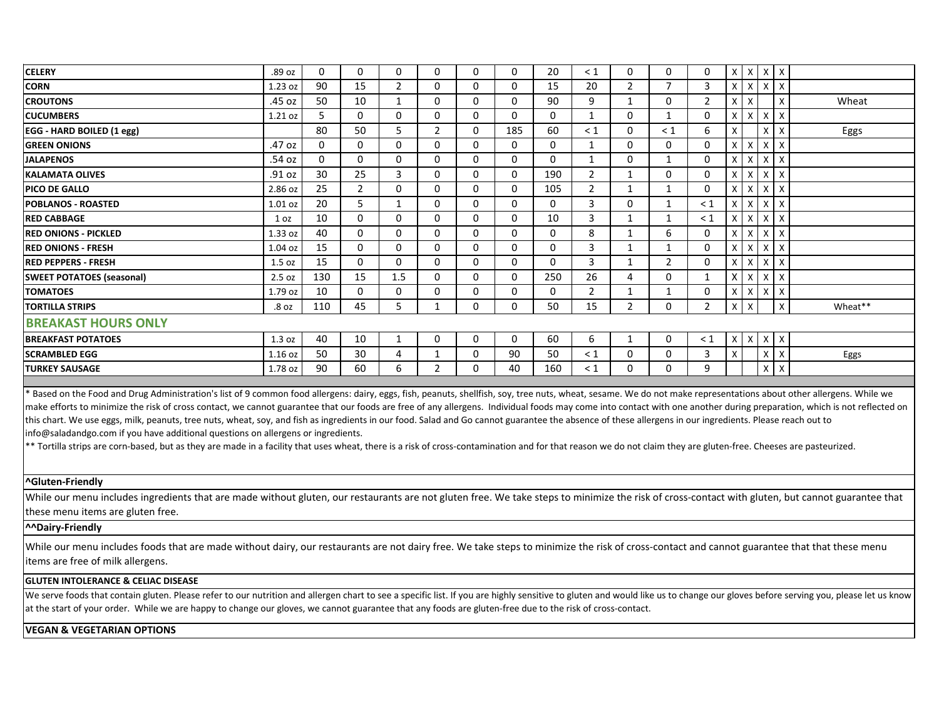| <b>CELERY</b>                                                                                                                                                                                                       | .89 oz          | $\Omega$ | 0              | 0            | 0              | 0 | 0            | 20           | $\leq 1$       | 0              | 0              | 0              |              | $x \mid x \mid x \mid x$  |                           |         |
|---------------------------------------------------------------------------------------------------------------------------------------------------------------------------------------------------------------------|-----------------|----------|----------------|--------------|----------------|---|--------------|--------------|----------------|----------------|----------------|----------------|--------------|---------------------------|---------------------------|---------|
| <b>CORN</b>                                                                                                                                                                                                         | 1.23 oz         | 90       | 15             | 2            | 0              | 0 | $\mathbf{0}$ | 15           | 20             | $\overline{2}$ | $\overline{7}$ | 3              | $X$ $X$      |                           | $X$ $X$                   |         |
| <b>CROUTONS</b>                                                                                                                                                                                                     | .45 oz          | 50       | 10             | 1            | 0              | 0 | $\mathbf{0}$ | 90           | 9              |                | 0              | $\overline{2}$ | $\times$     | $\boldsymbol{\mathsf{x}}$ | $\boldsymbol{\mathsf{x}}$ | Wheat   |
| <b>CUCUMBERS</b>                                                                                                                                                                                                    | $1.21$ $oz$     | 5.       | 0              | 0            | 0              | 0 | $\mathbf{0}$ | $\mathbf{0}$ | $\mathbf{1}$   | $\Omega$       | $\mathbf{1}$   | 0              | $\times$     | $\boldsymbol{\mathsf{x}}$ | $x \mid x$                |         |
| EGG - HARD BOILED (1 egg)                                                                                                                                                                                           |                 | 80       | 50             | 5            | $\overline{2}$ | 0 | 185          | 60           | $\leq 1$       | 0              | $\leq 1$       | 6              | $\mathsf{x}$ |                           | $X \mid X$                | Eggs    |
| <b>GREEN ONIONS</b>                                                                                                                                                                                                 | .47 oz          | $\Omega$ | $\Omega$       | 0            | $\Omega$       | 0 | $\Omega$     | $\mathbf{0}$ | 1              | 0              | $\mathbf{0}$   | $\mathbf{0}$   | $\times$     | $\mathsf{X}$              | $X$ $X$                   |         |
| <b>JALAPENOS</b>                                                                                                                                                                                                    | .54 oz          | $\Omega$ | $\Omega$       | 0            | 0              | 0 | $\mathbf{0}$ | $\mathbf{0}$ | 1              | 0              | 1              | $\mathbf{0}$   | $X$ $X$      |                           | $X$ $X$                   |         |
| <b>KALAMATA OLIVES</b>                                                                                                                                                                                              | .91 oz          | 30       | 25             | 3            | 0              | 0 | $\mathbf{0}$ | 190          | $\overline{2}$ |                | $\mathbf{0}$   | 0              | $\times$     | $\boldsymbol{\mathsf{X}}$ | $x \mid x$                |         |
| <b>PICO DE GALLO</b>                                                                                                                                                                                                | 2.86 oz         | 25       | $\overline{2}$ | 0            | 0              | 0 | $\mathbf{0}$ | 105          | $\overline{2}$ |                | $\mathbf{1}$   | $\mathbf{0}$   | $\times$     | $\mathsf{X}$              | $X$ $X$                   |         |
| <b>POBLANOS - ROASTED</b>                                                                                                                                                                                           | $1.01$ oz       | 20       | 5              | 1            | $\Omega$       | 0 | 0            | 0            | 3              | 0              | $\mathbf{1}$   | $\leq 1$       |              | $X$ $X$ $X$ $X$           |                           |         |
| <b>RED CABBAGE</b>                                                                                                                                                                                                  | 1 <sub>oz</sub> | 10       | 0              | 0            | 0              | 0 | $\mathbf{0}$ | 10           | 3              |                | 1              | $\leq 1$       | $x \mid x$   |                           | $X$ $X$                   |         |
| <b>RED ONIONS - PICKLED</b>                                                                                                                                                                                         | 1.33 oz         | 40       | 0              | 0            | 0              | 0 | $\mathbf{0}$ | $\mathbf{0}$ | 8              |                | 6              | $\mathbf{0}$   | $\times$     | $\mathsf{X}$              | $X$ $X$                   |         |
| <b>RED ONIONS - FRESH</b>                                                                                                                                                                                           | $1.04$ oz       | 15       | 0              | 0            | 0              | 0 | $\mathbf{0}$ | 0            | 3              |                | $\mathbf{1}$   | $\mathbf{0}$   | $\times$     | $\mathsf{x}$              | $X$ $X$                   |         |
| <b>RED PEPPERS - FRESH</b>                                                                                                                                                                                          | 1.5 oz          | 15       | $\Omega$       | 0            | $\Omega$       | 0 | $\mathbf{0}$ | $\mathbf{0}$ | 3              |                | 2              | $\mathbf{0}$   | $\times$     | $\boldsymbol{\mathsf{X}}$ | $X \mid X$                |         |
| <b>SWEET POTATOES (seasonal)</b>                                                                                                                                                                                    | 2.5 oz          | 130      | 15             | 1.5          | 0              | 0 | $\mathbf{0}$ | 250          | 26             | 4              | 0              | $\mathbf{1}$   | $X \times$   |                           | $X$ $X$                   |         |
| <b>TOMATOES</b>                                                                                                                                                                                                     | 1.79 oz         | 10       | 0              | 0            | 0              | 0 | $\mathbf{0}$ | 0            | 2              |                | $\mathbf{1}$   | 0              | $\times$     | $\boldsymbol{\mathsf{X}}$ | $x \mid x$                |         |
| <b>TORTILLA STRIPS</b>                                                                                                                                                                                              | .8 oz           | 110      | 45             | 5            |                | 0 | 0            | 50           | 15             | 2              | 0              | $\overline{2}$ | $\times$     | $\boldsymbol{\mathsf{X}}$ | X                         | Wheat** |
| <b>BREAKAST HOURS ONLY</b>                                                                                                                                                                                          |                 |          |                |              |                |   |              |              |                |                |                |                |              |                           |                           |         |
| <b>BREAKFAST POTATOES</b>                                                                                                                                                                                           | 1.3 oz          | 40       | 10             | $\mathbf{1}$ | 0              | 0 | $\mathbf{0}$ | 60           | 6              |                | $\mathbf 0$    | $\leq 1$       |              |                           | $x \mid x \mid x \mid x$  |         |
| <b>SCRAMBLED EGG</b>                                                                                                                                                                                                | 1.16 oz         | 50       | 30             | 4            | 1              | 0 | 90           | 50           | $\leq 1$       | 0              | 0              | 3              | $\times$     |                           | $x \mid x$                | Eggs    |
| <b>TURKEY SAUSAGE</b>                                                                                                                                                                                               | 1.78 oz         | 90       | 60             | 6            | $\overline{2}$ | 0 | 40           | 160          | $\leq 1$       | $\Omega$       | $\mathbf{0}$   | 9              |              |                           | $x \times$                |         |
|                                                                                                                                                                                                                     |                 |          |                |              |                |   |              |              |                |                |                |                |              |                           |                           |         |
| * Based on the Food and Drug Administration's list of 9 common food allergens: dairy, eggs, fish, peanuts, shellfish, soy, tree nuts, wheat, sesame. We do not make representations about other allergens. While we |                 |          |                |              |                |   |              |              |                |                |                |                |              |                           |                           |         |

make efforts to minimize the risk of cross contact, we cannot guarantee that our foods are free of any allergens. Individual foods may come into contact with one another during preparation, which is not reflected on this chart. We use eggs, milk, peanuts, tree nuts, wheat, soy, and fish as ingredients in our food. Salad and Go cannot guarantee the absence of these allergens in our ingredients. Please reach out to info@saladandgo.com if you have additional questions on allergens or ingredients.

\*\* Tortilla strips are corn-based, but as they are made in a facility that uses wheat, there is a risk of cross-contamination and for that reason we do not claim they are gluten-free. Cheeses are pasteurized.

**^Gluten-Friendly** 

While our menu includes ingredients that are made without gluten, our restaurants are not gluten free. We take steps to minimize the risk of cross-contact with gluten, but cannot guarantee that these menu items are gluten free.

## **^^Dairy-Friendly**

While our menu includes foods that are made without dairy, our restaurants are not dairy free. We take steps to minimize the risk of cross-contact and cannot guarantee that that these menu items are free of milk allergens.

## **GLUTEN INTOLERANCE & CELIAC DISEASE**

We serve foods that contain gluten. Please refer to our nutrition and allergen chart to see a specific list. If you are highly sensitive to gluten and would like us to change our gloves before serving you, please let us kn at the start of your order. While we are happy to change our gloves, we cannot guarantee that any foods are gluten-free due to the risk of cross-contact.

**VEGAN & VEGETARIAN OPTIONS**